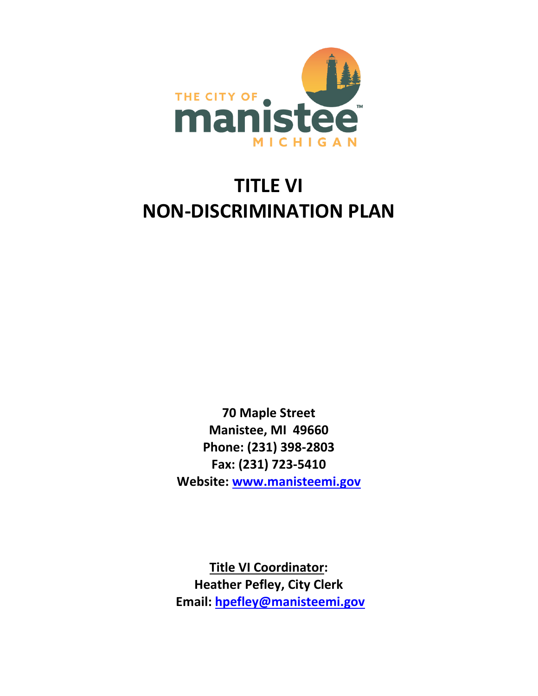

# **TITLE VI NON-DISCRIMINATION PLAN**

**70 Maple Street Manistee, MI 49660 Phone: (231) 398-2803 Fax: (231) 723-5410 Website: [www.manisteemi.gov](http://www.manisteemi.gov/)**

**Title VI Coordinator: Heather Pefley, City Clerk Email: [hpefley@manisteemi.gov](mailto:hpefley@manisteemi.gov)**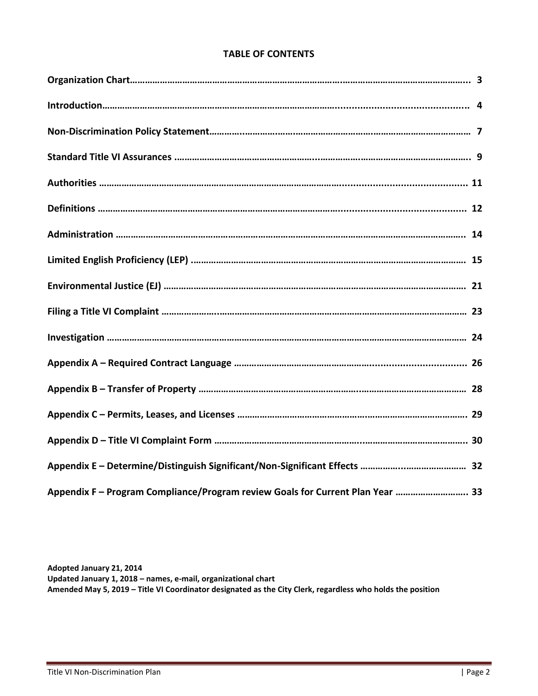# **TABLE OF CONTENTS**

| Appendix F - Program Compliance/Program review Goals for Current Plan Year  33 |  |
|--------------------------------------------------------------------------------|--|

**Adopted January 21, 2014 Updated January 1, 2018 – names, e-mail, organizational chart Amended May 5, 2019 – Title VI Coordinator designated as the City Clerk, regardless who holds the position**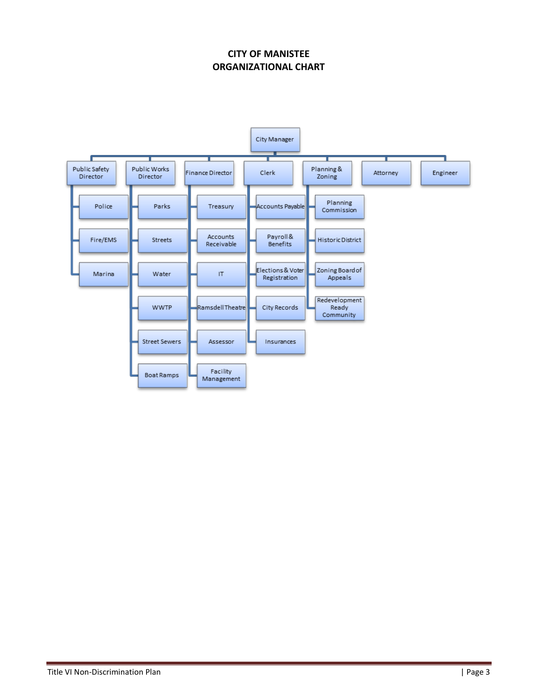# **CITY OF MANISTEE ORGANIZATIONAL CHART**

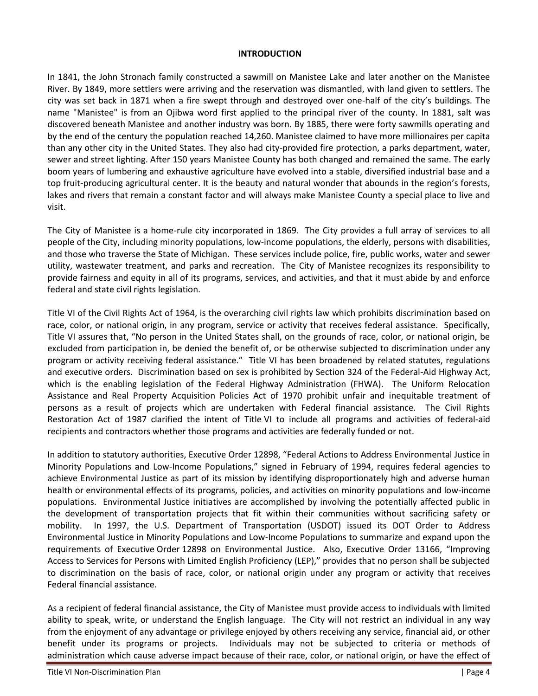#### **INTRODUCTION**

In 1841, the John Stronach family constructed a sawmill on Manistee Lake and later another on the Manistee River. By 1849, more settlers were arriving and the reservation was dismantled, with land given to settlers. The city was set back in 1871 when a fire swept through and destroyed over one-half of the city's buildings. The name "Manistee" is from an Ojibwa word first applied to the principal river of the county. In 1881, salt was discovered beneath Manistee and another industry was born. By 1885, there were forty sawmills operating and by the end of the century the population reached 14,260. Manistee claimed to have more millionaires per capita than any other city in the United States. They also had city-provided fire protection, a parks department, water, sewer and street lighting. After 150 years Manistee County has both changed and remained the same. The early boom years of lumbering and exhaustive agriculture have evolved into a stable, diversified industrial base and a top fruit-producing agricultural center. It is the beauty and natural wonder that abounds in the region's forests, lakes and rivers that remain a constant factor and will always make Manistee County a special place to live and visit.

The City of Manistee is a home-rule city incorporated in 1869. The City provides a full array of services to all people of the City, including minority populations, low-income populations, the elderly, persons with disabilities, and those who traverse the State of Michigan. These services include police, fire, public works, water and sewer utility, wastewater treatment, and parks and recreation. The City of Manistee recognizes its responsibility to provide fairness and equity in all of its programs, services, and activities, and that it must abide by and enforce federal and state civil rights legislation.

Title VI of the Civil Rights Act of 1964, is the overarching civil rights law which prohibits discrimination based on race, color, or national origin, in any program, service or activity that receives federal assistance. Specifically, Title VI assures that, "No person in the United States shall, on the grounds of race, color, or national origin, be excluded from participation in, be denied the benefit of, or be otherwise subjected to discrimination under any program or activity receiving federal assistance." Title VI has been broadened by related statutes, regulations and executive orders. Discrimination based on sex is prohibited by Section 324 of the Federal-Aid Highway Act, which is the enabling legislation of the Federal Highway Administration (FHWA). The Uniform Relocation Assistance and Real Property Acquisition Policies Act of 1970 prohibit unfair and inequitable treatment of persons as a result of projects which are undertaken with Federal financial assistance. The Civil Rights Restoration Act of 1987 clarified the intent of Title VI to include all programs and activities of federal-aid recipients and contractors whether those programs and activities are federally funded or not.

In addition to statutory authorities, Executive Order 12898, "Federal Actions to Address Environmental Justice in Minority Populations and Low-Income Populations," signed in February of 1994, requires federal agencies to achieve Environmental Justice as part of its mission by identifying disproportionately high and adverse human health or environmental effects of its programs, policies, and activities on minority populations and low-income populations. Environmental Justice initiatives are accomplished by involving the potentially affected public in the development of transportation projects that fit within their communities without sacrificing safety or mobility. In 1997, the U.S. Department of Transportation (USDOT) issued its DOT Order to Address Environmental Justice in Minority Populations and Low-Income Populations to summarize and expand upon the requirements of Executive Order 12898 on Environmental Justice. Also, Executive Order 13166, "Improving Access to Services for Persons with Limited English Proficiency (LEP)," provides that no person shall be subjected to discrimination on the basis of race, color, or national origin under any program or activity that receives Federal financial assistance.

As a recipient of federal financial assistance, the City of Manistee must provide access to individuals with limited ability to speak, write, or understand the English language. The City will not restrict an individual in any way from the enjoyment of any advantage or privilege enjoyed by others receiving any service, financial aid, or other benefit under its programs or projects. Individuals may not be subjected to criteria or methods of administration which cause adverse impact because of their race, color, or national origin, or have the effect of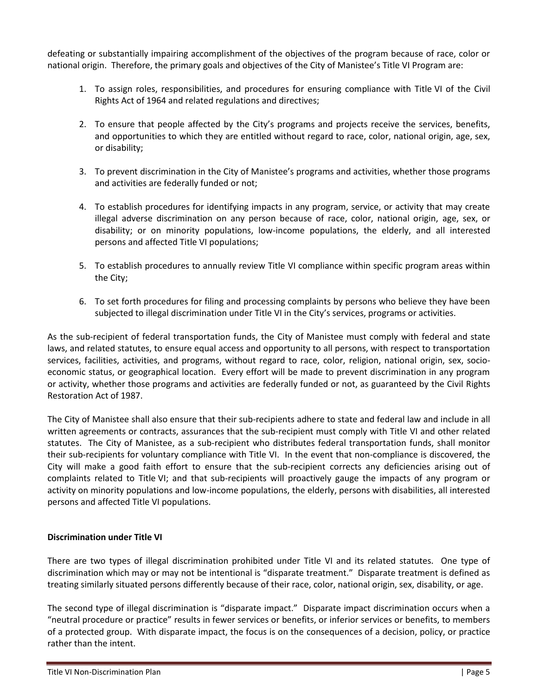defeating or substantially impairing accomplishment of the objectives of the program because of race, color or national origin. Therefore, the primary goals and objectives of the City of Manistee's Title VI Program are:

- 1. To assign roles, responsibilities, and procedures for ensuring compliance with Title VI of the Civil Rights Act of 1964 and related regulations and directives;
- 2. To ensure that people affected by the City's programs and projects receive the services, benefits, and opportunities to which they are entitled without regard to race, color, national origin, age, sex, or disability;
- 3. To prevent discrimination in the City of Manistee's programs and activities, whether those programs and activities are federally funded or not;
- 4. To establish procedures for identifying impacts in any program, service, or activity that may create illegal adverse discrimination on any person because of race, color, national origin, age, sex, or disability; or on minority populations, low-income populations, the elderly, and all interested persons and affected Title VI populations;
- 5. To establish procedures to annually review Title VI compliance within specific program areas within the City;
- 6. To set forth procedures for filing and processing complaints by persons who believe they have been subjected to illegal discrimination under Title VI in the City's services, programs or activities.

As the sub-recipient of federal transportation funds, the City of Manistee must comply with federal and state laws, and related statutes, to ensure equal access and opportunity to all persons, with respect to transportation services, facilities, activities, and programs, without regard to race, color, religion, national origin, sex, socioeconomic status, or geographical location. Every effort will be made to prevent discrimination in any program or activity, whether those programs and activities are federally funded or not, as guaranteed by the Civil Rights Restoration Act of 1987.

The City of Manistee shall also ensure that their sub-recipients adhere to state and federal law and include in all written agreements or contracts, assurances that the sub-recipient must comply with Title VI and other related statutes. The City of Manistee, as a sub-recipient who distributes federal transportation funds, shall monitor their sub-recipients for voluntary compliance with Title VI. In the event that non-compliance is discovered, the City will make a good faith effort to ensure that the sub-recipient corrects any deficiencies arising out of complaints related to Title VI; and that sub-recipients will proactively gauge the impacts of any program or activity on minority populations and low-income populations, the elderly, persons with disabilities, all interested persons and affected Title VI populations.

#### **Discrimination under Title VI**

There are two types of illegal discrimination prohibited under Title VI and its related statutes. One type of discrimination which may or may not be intentional is "disparate treatment." Disparate treatment is defined as treating similarly situated persons differently because of their race, color, national origin, sex, disability, or age.

The second type of illegal discrimination is "disparate impact." Disparate impact discrimination occurs when a "neutral procedure or practice" results in fewer services or benefits, or inferior services or benefits, to members of a protected group. With disparate impact, the focus is on the consequences of a decision, policy, or practice rather than the intent.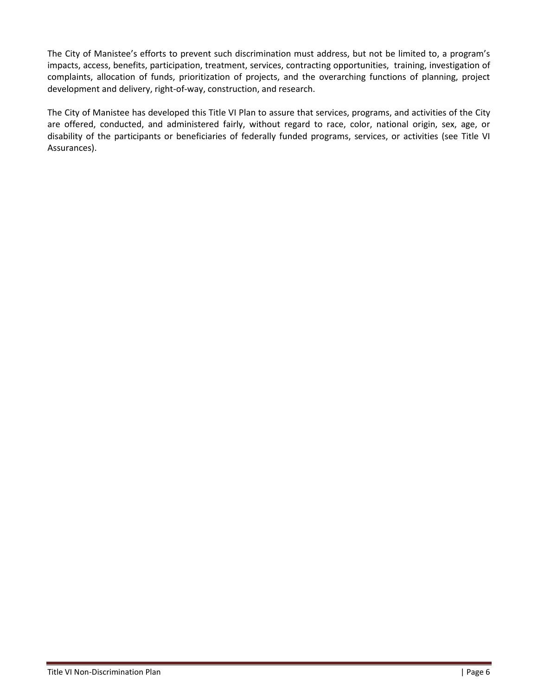The City of Manistee's efforts to prevent such discrimination must address, but not be limited to, a program's impacts, access, benefits, participation, treatment, services, contracting opportunities, training, investigation of complaints, allocation of funds, prioritization of projects, and the overarching functions of planning, project development and delivery, right-of-way, construction, and research.

The City of Manistee has developed this Title VI Plan to assure that services, programs, and activities of the City are offered, conducted, and administered fairly, without regard to race, color, national origin, sex, age, or disability of the participants or beneficiaries of federally funded programs, services, or activities (see Title VI Assurances).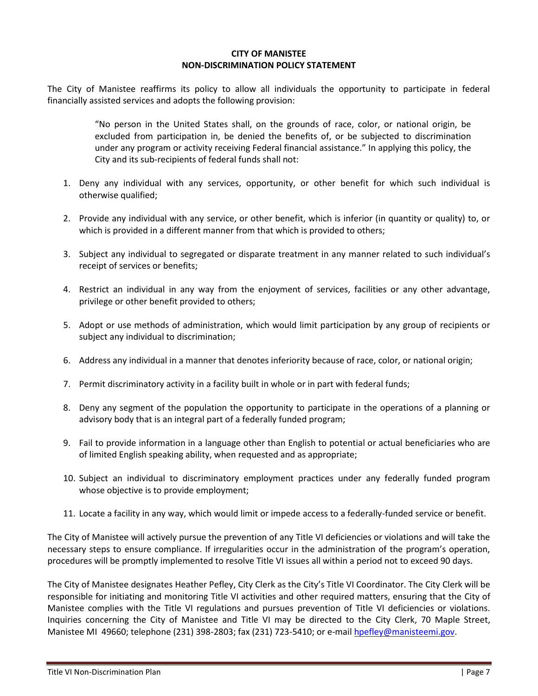#### **CITY OF MANISTEE NON-DISCRIMINATION POLICY STATEMENT**

The City of Manistee reaffirms its policy to allow all individuals the opportunity to participate in federal financially assisted services and adopts the following provision:

> "No person in the United States shall, on the grounds of race, color, or national origin, be excluded from participation in, be denied the benefits of, or be subjected to discrimination under any program or activity receiving Federal financial assistance." In applying this policy, the City and its sub-recipients of federal funds shall not:

- 1. Deny any individual with any services, opportunity, or other benefit for which such individual is otherwise qualified;
- 2. Provide any individual with any service, or other benefit, which is inferior (in quantity or quality) to, or which is provided in a different manner from that which is provided to others;
- 3. Subject any individual to segregated or disparate treatment in any manner related to such individual's receipt of services or benefits;
- 4. Restrict an individual in any way from the enjoyment of services, facilities or any other advantage, privilege or other benefit provided to others;
- 5. Adopt or use methods of administration, which would limit participation by any group of recipients or subject any individual to discrimination;
- 6. Address any individual in a manner that denotes inferiority because of race, color, or national origin;
- 7. Permit discriminatory activity in a facility built in whole or in part with federal funds;
- 8. Deny any segment of the population the opportunity to participate in the operations of a planning or advisory body that is an integral part of a federally funded program;
- 9. Fail to provide information in a language other than English to potential or actual beneficiaries who are of limited English speaking ability, when requested and as appropriate;
- 10. Subject an individual to discriminatory employment practices under any federally funded program whose objective is to provide employment;
- 11. Locate a facility in any way, which would limit or impede access to a federally-funded service or benefit.

The City of Manistee will actively pursue the prevention of any Title VI deficiencies or violations and will take the necessary steps to ensure compliance. If irregularities occur in the administration of the program's operation, procedures will be promptly implemented to resolve Title VI issues all within a period not to exceed 90 days.

The City of Manistee designates Heather Pefley, City Clerk as the City's Title VI Coordinator. The City Clerk will be responsible for initiating and monitoring Title VI activities and other required matters, ensuring that the City of Manistee complies with the Title VI regulations and pursues prevention of Title VI deficiencies or violations. Inquiries concerning the City of Manistee and Title VI may be directed to the City Clerk, 70 Maple Street, Manistee MI 49660; telephone (231) 398-2803; fax (231) 723-5410; or e-mail [hpefley@manisteemi.gov.](mailto:mwright@manisteemi.gov)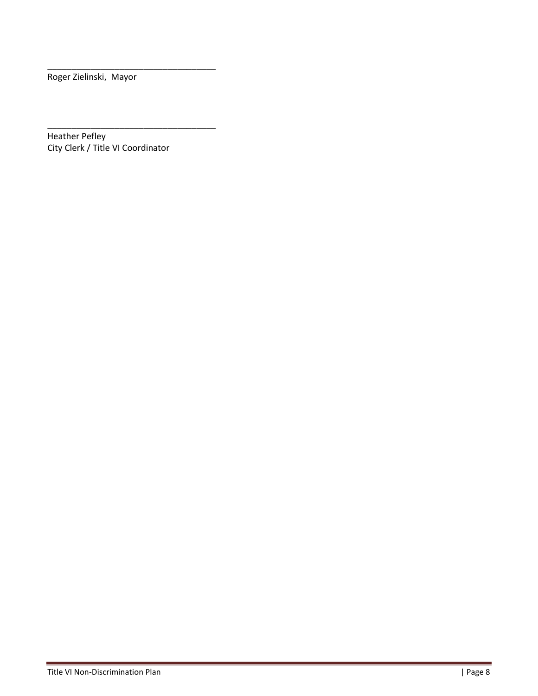Roger Zielinski, Mayor

\_\_\_\_\_\_\_\_\_\_\_\_\_\_\_\_\_\_\_\_\_\_\_\_\_\_\_\_\_\_\_\_\_\_\_ Heather Pefley City Clerk / Title VI Coordinator

\_\_\_\_\_\_\_\_\_\_\_\_\_\_\_\_\_\_\_\_\_\_\_\_\_\_\_\_\_\_\_\_\_\_\_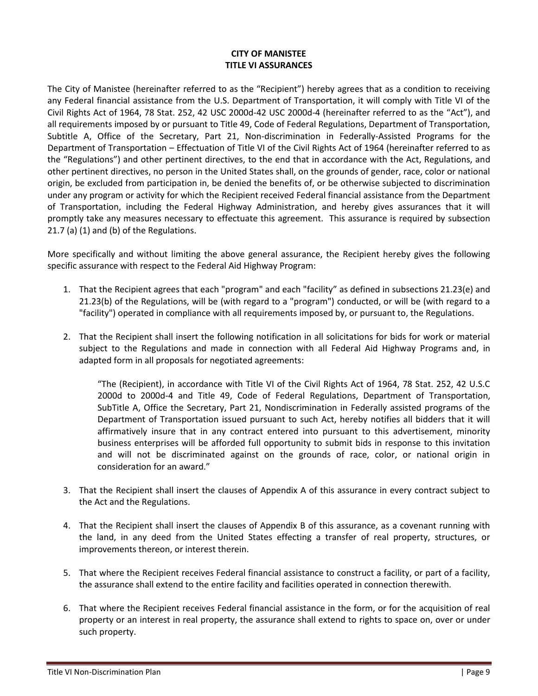# **CITY OF MANISTEE TITLE VI ASSURANCES**

The City of Manistee (hereinafter referred to as the "Recipient") hereby agrees that as a condition to receiving any Federal financial assistance from the U.S. Department of Transportation, it will comply with Title VI of the Civil Rights Act of 1964, 78 Stat. 252, 42 USC 2000d-42 USC 2000d-4 (hereinafter referred to as the "Act"), and all requirements imposed by or pursuant to Title 49, Code of Federal Regulations, Department of Transportation, Subtitle A, Office of the Secretary, Part 21, Non-discrimination in Federally-Assisted Programs for the Department of Transportation – Effectuation of Title VI of the Civil Rights Act of 1964 (hereinafter referred to as the "Regulations") and other pertinent directives, to the end that in accordance with the Act, Regulations, and other pertinent directives, no person in the United States shall, on the grounds of gender, race, color or national origin, be excluded from participation in, be denied the benefits of, or be otherwise subjected to discrimination under any program or activity for which the Recipient received Federal financial assistance from the Department of Transportation, including the Federal Highway Administration, and hereby gives assurances that it will promptly take any measures necessary to effectuate this agreement. This assurance is required by subsection 21.7 (a) (1) and (b) of the Regulations.

More specifically and without limiting the above general assurance, the Recipient hereby gives the following specific assurance with respect to the Federal Aid Highway Program:

- 1. That the Recipient agrees that each "program" and each "facility" as defined in subsections 21.23(e) and 21.23(b) of the Regulations, will be (with regard to a "program") conducted, or will be (with regard to a "facility") operated in compliance with all requirements imposed by, or pursuant to, the Regulations.
- 2. That the Recipient shall insert the following notification in all solicitations for bids for work or material subject to the Regulations and made in connection with all Federal Aid Highway Programs and, in adapted form in all proposals for negotiated agreements:

"The (Recipient), in accordance with Title VI of the Civil Rights Act of 1964, 78 Stat. 252, 42 U.S.C 2000d to 2000d-4 and Title 49, Code of Federal Regulations, Department of Transportation, SubTitle A, Office the Secretary, Part 21, Nondiscrimination in Federally assisted programs of the Department of Transportation issued pursuant to such Act, hereby notifies all bidders that it will affirmatively insure that in any contract entered into pursuant to this advertisement, minority business enterprises will be afforded full opportunity to submit bids in response to this invitation and will not be discriminated against on the grounds of race, color, or national origin in consideration for an award."

- 3. That the Recipient shall insert the clauses of Appendix A of this assurance in every contract subject to the Act and the Regulations.
- 4. That the Recipient shall insert the clauses of Appendix B of this assurance, as a covenant running with the land, in any deed from the United States effecting a transfer of real property, structures, or improvements thereon, or interest therein.
- 5. That where the Recipient receives Federal financial assistance to construct a facility, or part of a facility, the assurance shall extend to the entire facility and facilities operated in connection therewith.
- 6. That where the Recipient receives Federal financial assistance in the form, or for the acquisition of real property or an interest in real property, the assurance shall extend to rights to space on, over or under such property.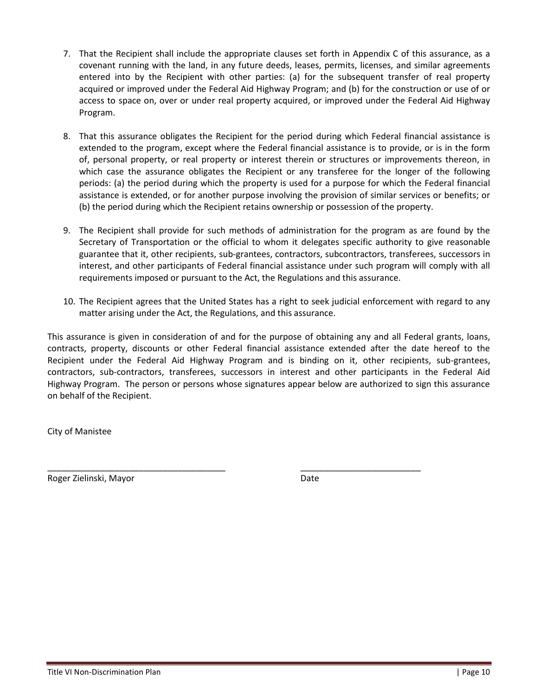- 7. That the Recipient shall include the appropriate clauses set forth in Appendix C of this assurance, as a covenant running with the land, in any future deeds, leases, permits, licenses, and similar agreements entered into by the Recipient with other parties: (a) for the subsequent transfer of real property acquired or improved under the Federal Aid Highway Program; and (b) for the construction or use of or access to space on, over or under real property acquired, or improved under the Federal Aid Highway Program.
- 8. That this assurance obligates the Recipient for the period during which Federal financial assistance is extended to the program, except where the Federal financial assistance is to provide, or is in the form of, personal property, or real property or interest therein or structures or improvements thereon, in which case the assurance obligates the Recipient or any transferee for the longer of the following periods: (a) the period during which the property is used for a purpose for which the Federal financial assistance is extended, or for another purpose involving the provision of similar services or benefits; or (b) the period during which the Recipient retains ownership or possession of the property.
- 9. The Recipient shall provide for such methods of administration for the program as are found by the Secretary of Transportation or the official to whom it delegates specific authority to give reasonable guarantee that it, other recipients, sub-grantees, contractors, subcontractors, transferees, successors in interest, and other participants of Federal financial assistance under such program will comply with all requirements imposed or pursuant to the Act, the Regulations and this assurance.
- 10. The Recipient agrees that the United States has a right to seek judicial enforcement with regard to any matter arising under the Act, the Regulations, and this assurance.

This assurance is given in consideration of and for the purpose of obtaining any and all Federal grants, loans, contracts, property, discounts or other Federal financial assistance extended after the date hereof to the Recipient under the Federal Aid Highway Program and is binding on it, other recipients, sub-grantees, contractors, sub-contractors, transferees, successors in interest and other participants in the Federal Aid Highway Program. The person or persons whose signatures appear below are authorized to sign this assurance on behalf of the Recipient.

\_\_\_\_\_\_\_\_\_\_\_\_\_\_\_\_\_\_\_\_\_\_\_\_\_\_\_\_\_\_\_\_\_\_\_\_\_ \_\_\_\_\_\_\_\_\_\_\_\_\_\_\_\_\_\_\_\_\_\_\_\_\_

City of Manistee

Roger Zielinski, Mayor Date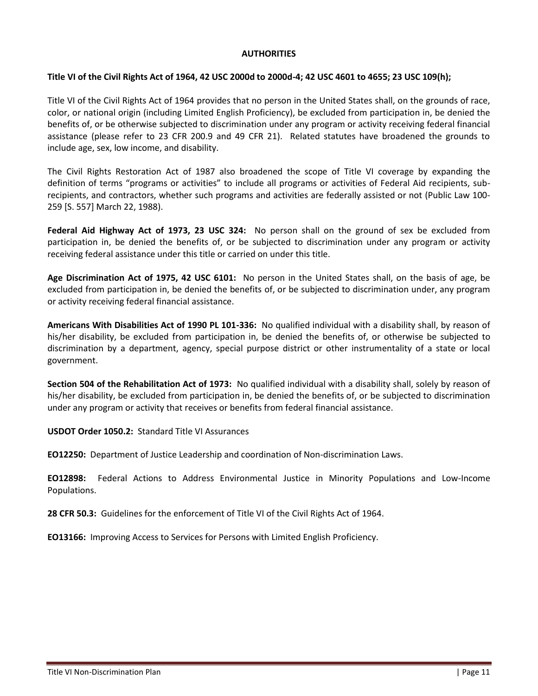## **AUTHORITIES**

### **Title VI of the Civil Rights Act of 1964, 42 USC 2000d to 2000d-4; 42 USC 4601 to 4655; 23 USC 109(h);**

Title VI of the Civil Rights Act of 1964 provides that no person in the United States shall, on the grounds of race, color, or national origin (including Limited English Proficiency), be excluded from participation in, be denied the benefits of, or be otherwise subjected to discrimination under any program or activity receiving federal financial assistance (please refer to 23 CFR 200.9 and 49 CFR 21). Related statutes have broadened the grounds to include age, sex, low income, and disability.

The Civil Rights Restoration Act of 1987 also broadened the scope of Title VI coverage by expanding the definition of terms "programs or activities" to include all programs or activities of Federal Aid recipients, subrecipients, and contractors, whether such programs and activities are federally assisted or not (Public Law 100- 259 [S. 557] March 22, 1988).

**Federal Aid Highway Act of 1973, 23 USC 324:** No person shall on the ground of sex be excluded from participation in, be denied the benefits of, or be subjected to discrimination under any program or activity receiving federal assistance under this title or carried on under this title.

**Age Discrimination Act of 1975, 42 USC 6101:** No person in the United States shall, on the basis of age, be excluded from participation in, be denied the benefits of, or be subjected to discrimination under, any program or activity receiving federal financial assistance.

**Americans With Disabilities Act of 1990 PL 101-336:** No qualified individual with a disability shall, by reason of his/her disability, be excluded from participation in, be denied the benefits of, or otherwise be subjected to discrimination by a department, agency, special purpose district or other instrumentality of a state or local government.

**Section 504 of the Rehabilitation Act of 1973:** No qualified individual with a disability shall, solely by reason of his/her disability, be excluded from participation in, be denied the benefits of, or be subjected to discrimination under any program or activity that receives or benefits from federal financial assistance.

**USDOT Order 1050.2:** Standard Title VI Assurances

**EO12250:** Department of Justice Leadership and coordination of Non-discrimination Laws.

**EO12898:** Federal Actions to Address Environmental Justice in Minority Populations and Low-Income Populations.

**28 CFR 50.3:** Guidelines for the enforcement of Title VI of the Civil Rights Act of 1964.

**EO13166:** Improving Access to Services for Persons with Limited English Proficiency.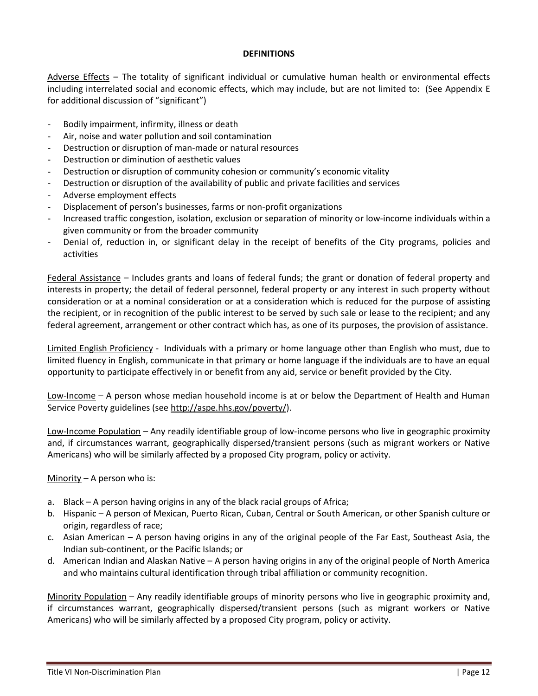#### **DEFINITIONS**

Adverse Effects – The totality of significant individual or cumulative human health or environmental effects including interrelated social and economic effects, which may include, but are not limited to: (See Appendix E for additional discussion of "significant")

- Bodily impairment, infirmity, illness or death
- Air, noise and water pollution and soil contamination
- Destruction or disruption of man-made or natural resources
- Destruction or diminution of aesthetic values
- Destruction or disruption of community cohesion or community's economic vitality
- Destruction or disruption of the availability of public and private facilities and services
- Adverse employment effects
- Displacement of person's businesses, farms or non-profit organizations
- Increased traffic congestion, isolation, exclusion or separation of minority or low-income individuals within a given community or from the broader community
- Denial of, reduction in, or significant delay in the receipt of benefits of the City programs, policies and activities

Federal Assistance – Includes grants and loans of federal funds; the grant or donation of federal property and interests in property; the detail of federal personnel, federal property or any interest in such property without consideration or at a nominal consideration or at a consideration which is reduced for the purpose of assisting the recipient, or in recognition of the public interest to be served by such sale or lease to the recipient; and any federal agreement, arrangement or other contract which has, as one of its purposes, the provision of assistance.

Limited English Proficiency - Individuals with a primary or home language other than English who must, due to limited fluency in English, communicate in that primary or home language if the individuals are to have an equal opportunity to participate effectively in or benefit from any aid, service or benefit provided by the City.

Low-Income – A person whose median household income is at or below the Department of Health and Human Service Poverty guidelines (see [http://aspe.hhs.gov/poverty/\)](http://aspe.hhs.gov/poverty/).

Low-Income Population – Any readily identifiable group of low-income persons who live in geographic proximity and, if circumstances warrant, geographically dispersed/transient persons (such as migrant workers or Native Americans) who will be similarly affected by a proposed City program, policy or activity.

Minority – A person who is:

- a. Black A person having origins in any of the black racial groups of Africa;
- b. Hispanic A person of Mexican, Puerto Rican, Cuban, Central or South American, or other Spanish culture or origin, regardless of race;
- c. Asian American A person having origins in any of the original people of the Far East, Southeast Asia, the Indian sub-continent, or the Pacific Islands; or
- d. American Indian and Alaskan Native A person having origins in any of the original people of North America and who maintains cultural identification through tribal affiliation or community recognition.

Minority Population – Any readily identifiable groups of minority persons who live in geographic proximity and, if circumstances warrant, geographically dispersed/transient persons (such as migrant workers or Native Americans) who will be similarly affected by a proposed City program, policy or activity.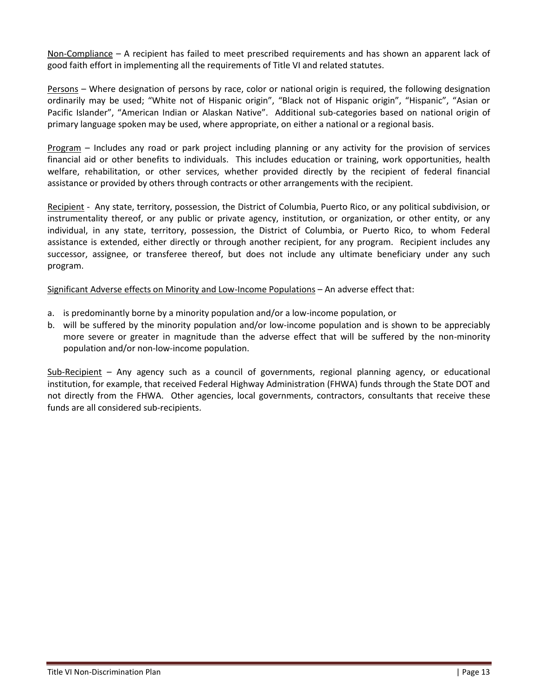Non-Compliance – A recipient has failed to meet prescribed requirements and has shown an apparent lack of good faith effort in implementing all the requirements of Title VI and related statutes.

Persons – Where designation of persons by race, color or national origin is required, the following designation ordinarily may be used; "White not of Hispanic origin", "Black not of Hispanic origin", "Hispanic", "Asian or Pacific Islander", "American Indian or Alaskan Native". Additional sub-categories based on national origin of primary language spoken may be used, where appropriate, on either a national or a regional basis.

Program – Includes any road or park project including planning or any activity for the provision of services financial aid or other benefits to individuals. This includes education or training, work opportunities, health welfare, rehabilitation, or other services, whether provided directly by the recipient of federal financial assistance or provided by others through contracts or other arrangements with the recipient.

Recipient - Any state, territory, possession, the District of Columbia, Puerto Rico, or any political subdivision, or instrumentality thereof, or any public or private agency, institution, or organization, or other entity, or any individual, in any state, territory, possession, the District of Columbia, or Puerto Rico, to whom Federal assistance is extended, either directly or through another recipient, for any program. Recipient includes any successor, assignee, or transferee thereof, but does not include any ultimate beneficiary under any such program.

Significant Adverse effects on Minority and Low-Income Populations – An adverse effect that:

- a. is predominantly borne by a minority population and/or a low-income population, or
- b. will be suffered by the minority population and/or low-income population and is shown to be appreciably more severe or greater in magnitude than the adverse effect that will be suffered by the non-minority population and/or non-low-income population.

Sub-Recipient – Any agency such as a council of governments, regional planning agency, or educational institution, for example, that received Federal Highway Administration (FHWA) funds through the State DOT and not directly from the FHWA. Other agencies, local governments, contractors, consultants that receive these funds are all considered sub-recipients.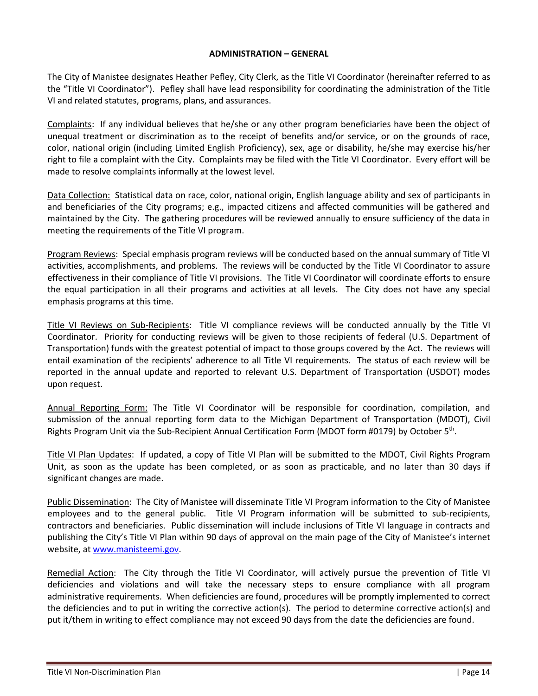#### **ADMINISTRATION – GENERAL**

The City of Manistee designates Heather Pefley, City Clerk, as the Title VI Coordinator (hereinafter referred to as the "Title VI Coordinator"). Pefley shall have lead responsibility for coordinating the administration of the Title VI and related statutes, programs, plans, and assurances.

Complaints: If any individual believes that he/she or any other program beneficiaries have been the object of unequal treatment or discrimination as to the receipt of benefits and/or service, or on the grounds of race, color, national origin (including Limited English Proficiency), sex, age or disability, he/she may exercise his/her right to file a complaint with the City. Complaints may be filed with the Title VI Coordinator. Every effort will be made to resolve complaints informally at the lowest level.

Data Collection: Statistical data on race, color, national origin, English language ability and sex of participants in and beneficiaries of the City programs; e.g., impacted citizens and affected communities will be gathered and maintained by the City. The gathering procedures will be reviewed annually to ensure sufficiency of the data in meeting the requirements of the Title VI program.

Program Reviews: Special emphasis program reviews will be conducted based on the annual summary of Title VI activities, accomplishments, and problems. The reviews will be conducted by the Title VI Coordinator to assure effectiveness in their compliance of Title VI provisions. The Title VI Coordinator will coordinate efforts to ensure the equal participation in all their programs and activities at all levels. The City does not have any special emphasis programs at this time.

Title VI Reviews on Sub-Recipients: Title VI compliance reviews will be conducted annually by the Title VI Coordinator. Priority for conducting reviews will be given to those recipients of federal (U.S. Department of Transportation) funds with the greatest potential of impact to those groups covered by the Act. The reviews will entail examination of the recipients' adherence to all Title VI requirements. The status of each review will be reported in the annual update and reported to relevant U.S. Department of Transportation (USDOT) modes upon request.

Annual Reporting Form: The Title VI Coordinator will be responsible for coordination, compilation, and submission of the annual reporting form data to the Michigan Department of Transportation (MDOT), Civil Rights Program Unit via the Sub-Recipient Annual Certification Form (MDOT form #0179) by October 5<sup>th</sup>.

Title VI Plan Updates: If updated, a copy of Title VI Plan will be submitted to the MDOT, Civil Rights Program Unit, as soon as the update has been completed, or as soon as practicable, and no later than 30 days if significant changes are made.

Public Dissemination: The City of Manistee will disseminate Title VI Program information to the City of Manistee employees and to the general public. Title VI Program information will be submitted to sub-recipients, contractors and beneficiaries. Public dissemination will include inclusions of Title VI language in contracts and publishing the City's Title VI Plan within 90 days of approval on the main page of the City of Manistee's internet website, at [www.manisteemi.gov.](http://www.manisteemi.gov/)

Remedial Action: The City through the Title VI Coordinator, will actively pursue the prevention of Title VI deficiencies and violations and will take the necessary steps to ensure compliance with all program administrative requirements. When deficiencies are found, procedures will be promptly implemented to correct the deficiencies and to put in writing the corrective action(s). The period to determine corrective action(s) and put it/them in writing to effect compliance may not exceed 90 days from the date the deficiencies are found.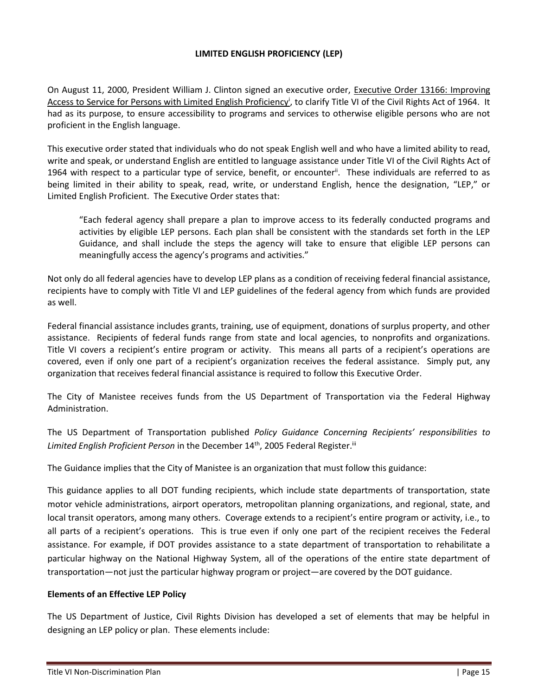# **LIMITED ENGLISH PROFICIENCY (LEP)**

On August 11, 2000, President William J. Clinton signed an executive order, Executive Order 13166: Improving Access to Service for Persons with Limited English Proficiency<sup>i</sup>, to clarify Title VI of the Civil Rights Act of 1964. It had as its purpose, to ensure accessibility to programs and services to otherwise eligible persons who are not proficient in the English language.

This executive order stated that individuals who do not speak English well and who have a limited ability to read, write and speak, or understand English are entitled to language assistance under Title VI of the Civil Rights Act of 1964 with respect to a particular type of service, benefit, or encounter<sup>ii</sup>. These individuals are referred to as being limited in their ability to speak, read, write, or understand English, hence the designation, "LEP," or Limited English Proficient. The Executive Order states that:

"Each federal agency shall prepare a plan to improve access to its federally conducted programs and activities by eligible LEP persons. Each plan shall be consistent with the standards set forth in the LEP Guidance, and shall include the steps the agency will take to ensure that eligible LEP persons can meaningfully access the agency's programs and activities."

Not only do all federal agencies have to develop LEP plans as a condition of receiving federal financial assistance, recipients have to comply with Title VI and LEP guidelines of the federal agency from which funds are provided as well.

Federal financial assistance includes grants, training, use of equipment, donations of surplus property, and other assistance. Recipients of federal funds range from state and local agencies, to nonprofits and organizations. Title VI covers a recipient's entire program or activity. This means all parts of a recipient's operations are covered, even if only one part of a recipient's organization receives the federal assistance. Simply put, any organization that receives federal financial assistance is required to follow this Executive Order.

The City of Manistee receives funds from the US Department of Transportation via the Federal Highway Administration.

The US Department of Transportation published *Policy Guidance Concerning Recipients' responsibilities to*  Limited English Proficient Person in the December 14<sup>th</sup>, 2005 Federal Register.<sup>iii</sup>

The Guidance implies that the City of Manistee is an organization that must follow this guidance:

This guidance applies to all DOT funding recipients, which include state departments of transportation, state motor vehicle administrations, airport operators, metropolitan planning organizations, and regional, state, and local transit operators, among many others. Coverage extends to a recipient's entire program or activity, i.e., to all parts of a recipient's operations. This is true even if only one part of the recipient receives the Federal assistance. For example, if DOT provides assistance to a state department of transportation to rehabilitate a particular highway on the National Highway System, all of the operations of the entire state department of transportation—not just the particular highway program or project—are covered by the DOT guidance.

#### **Elements of an Effective LEP Policy**

The US Department of Justice, Civil Rights Division has developed a set of elements that may be helpful in designing an LEP policy or plan. These elements include: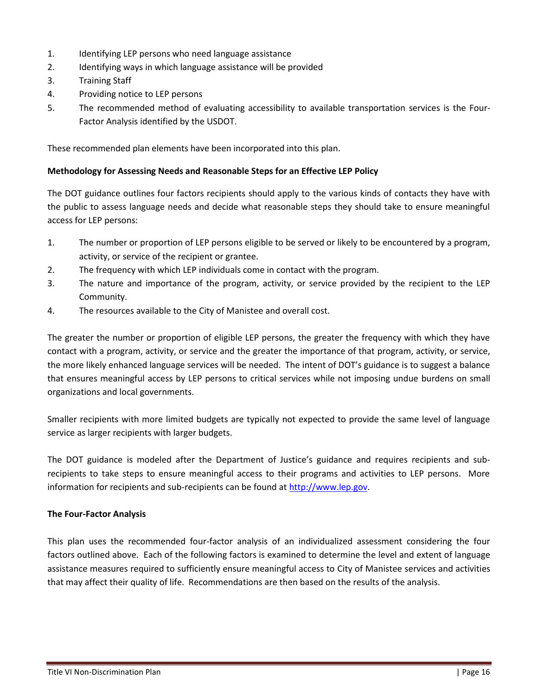- 1. Identifying LEP persons who need language assistance
- 2. Identifying ways in which language assistance will be provided
- 3. Training Staff
- 4. Providing notice to LEP persons
- 5. The recommended method of evaluating accessibility to available transportation services is the Four-Factor Analysis identified by the USDOT.

These recommended plan elements have been incorporated into this plan.

#### **Methodology for Assessing Needs and Reasonable Steps for an Effective LEP Policy**

The DOT guidance outlines four factors recipients should apply to the various kinds of contacts they have with the public to assess language needs and decide what reasonable steps they should take to ensure meaningful access for LEP persons:

- 1. The number or proportion of LEP persons eligible to be served or likely to be encountered by a program, activity, or service of the recipient or grantee.
- 2. The frequency with which LEP individuals come in contact with the program.
- 3. The nature and importance of the program, activity, or service provided by the recipient to the LEP Community.
- 4. The resources available to the City of Manistee and overall cost.

The greater the number or proportion of eligible LEP persons, the greater the frequency with which they have contact with a program, activity, or service and the greater the importance of that program, activity, or service, the more likely enhanced language services will be needed. The intent of DOT's guidance is to suggest a balance that ensures meaningful access by LEP persons to critical services while not imposing undue burdens on small organizations and local governments.

Smaller recipients with more limited budgets are typically not expected to provide the same level of language service as larger recipients with larger budgets.

The DOT guidance is modeled after the Department of Justice's guidance and requires recipients and subrecipients to take steps to ensure meaningful access to their programs and activities to LEP persons. More information for recipients and sub-recipients can be found at [http://www.lep.gov.](http://www.lep.gov/)

#### **The Four-Factor Analysis**

This plan uses the recommended four-factor analysis of an individualized assessment considering the four factors outlined above. Each of the following factors is examined to determine the level and extent of language assistance measures required to sufficiently ensure meaningful access to City of Manistee services and activities that may affect their quality of life. Recommendations are then based on the results of the analysis.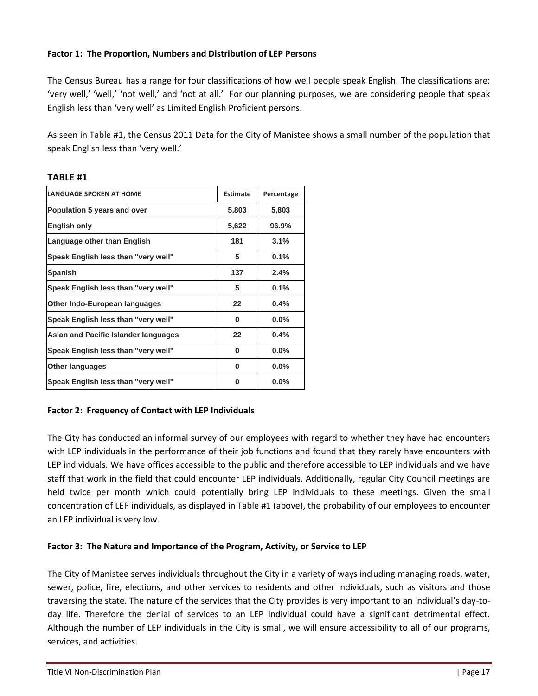# **Factor 1: The Proportion, Numbers and Distribution of LEP Persons**

The Census Bureau has a range for four classifications of how well people speak English. The classifications are: 'very well,' 'well,' 'not well,' and 'not at all.' For our planning purposes, we are considering people that speak English less than 'very well' as Limited English Proficient persons.

As seen in Table #1, the Census 2011 Data for the City of Manistee shows a small number of the population that speak English less than 'very well.'

| <b>LANGUAGE SPOKEN AT HOME</b>       | <b>Estimate</b> | Percentage |
|--------------------------------------|-----------------|------------|
| Population 5 years and over          | 5,803           | 5,803      |
| <b>English only</b>                  | 5,622           | 96.9%      |
| Language other than English          | 181             | 3.1%       |
| Speak English less than "very well"  | 5               | 0.1%       |
| <b>Spanish</b>                       | 137             | 2.4%       |
| Speak English less than "very well"  | 5               | 0.1%       |
| Other Indo-European languages        | 22              | $0.4\%$    |
| Speak English less than "very well"  | 0               | $0.0\%$    |
| Asian and Pacific Islander languages | 22              | 0.4%       |
| Speak English less than "very well"  | 0               | $0.0\%$    |
| <b>Other languages</b>               | 0               | $0.0\%$    |
| Speak English less than "very well"  | O               | $0.0\%$    |

## **TABLE #1**

# **Factor 2: Frequency of Contact with LEP Individuals**

The City has conducted an informal survey of our employees with regard to whether they have had encounters with LEP individuals in the performance of their job functions and found that they rarely have encounters with LEP individuals. We have offices accessible to the public and therefore accessible to LEP individuals and we have staff that work in the field that could encounter LEP individuals. Additionally, regular City Council meetings are held twice per month which could potentially bring LEP individuals to these meetings. Given the small concentration of LEP individuals, as displayed in Table #1 (above), the probability of our employees to encounter an LEP individual is very low.

# **Factor 3: The Nature and Importance of the Program, Activity, or Service to LEP**

The City of Manistee serves individuals throughout the City in a variety of ways including managing roads, water, sewer, police, fire, elections, and other services to residents and other individuals, such as visitors and those traversing the state. The nature of the services that the City provides is very important to an individual's day-today life. Therefore the denial of services to an LEP individual could have a significant detrimental effect. Although the number of LEP individuals in the City is small, we will ensure accessibility to all of our programs, services, and activities.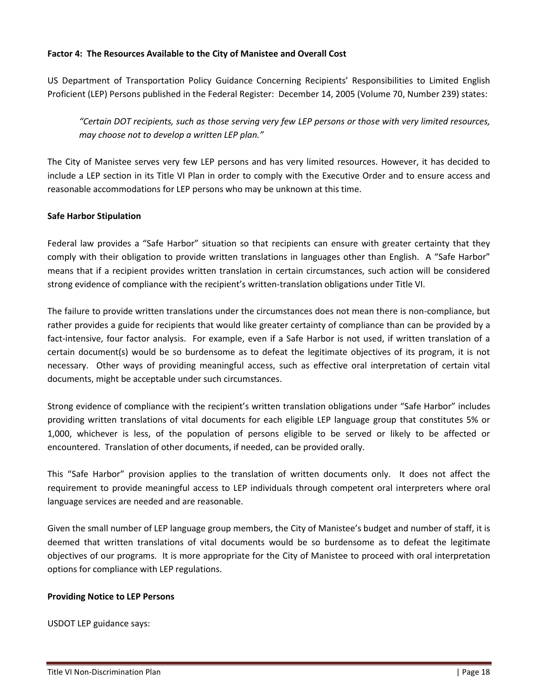## **Factor 4: The Resources Available to the City of Manistee and Overall Cost**

US Department of Transportation Policy Guidance Concerning Recipients' Responsibilities to Limited English Proficient (LEP) Persons published in the Federal Register: December 14, 2005 (Volume 70, Number 239) states:

*"Certain DOT recipients, such as those serving very few LEP persons or those with very limited resources, may choose not to develop a written LEP plan."*

The City of Manistee serves very few LEP persons and has very limited resources. However, it has decided to include a LEP section in its Title VI Plan in order to comply with the Executive Order and to ensure access and reasonable accommodations for LEP persons who may be unknown at this time.

#### **Safe Harbor Stipulation**

Federal law provides a "Safe Harbor" situation so that recipients can ensure with greater certainty that they comply with their obligation to provide written translations in languages other than English. A "Safe Harbor" means that if a recipient provides written translation in certain circumstances, such action will be considered strong evidence of compliance with the recipient's written-translation obligations under Title VI.

The failure to provide written translations under the circumstances does not mean there is non-compliance, but rather provides a guide for recipients that would like greater certainty of compliance than can be provided by a fact-intensive, four factor analysis. For example, even if a Safe Harbor is not used, if written translation of a certain document(s) would be so burdensome as to defeat the legitimate objectives of its program, it is not necessary. Other ways of providing meaningful access, such as effective oral interpretation of certain vital documents, might be acceptable under such circumstances.

Strong evidence of compliance with the recipient's written translation obligations under "Safe Harbor" includes providing written translations of vital documents for each eligible LEP language group that constitutes 5% or 1,000, whichever is less, of the population of persons eligible to be served or likely to be affected or encountered. Translation of other documents, if needed, can be provided orally.

This "Safe Harbor" provision applies to the translation of written documents only. It does not affect the requirement to provide meaningful access to LEP individuals through competent oral interpreters where oral language services are needed and are reasonable.

Given the small number of LEP language group members, the City of Manistee's budget and number of staff, it is deemed that written translations of vital documents would be so burdensome as to defeat the legitimate objectives of our programs. It is more appropriate for the City of Manistee to proceed with oral interpretation options for compliance with LEP regulations.

#### **Providing Notice to LEP Persons**

USDOT LEP guidance says: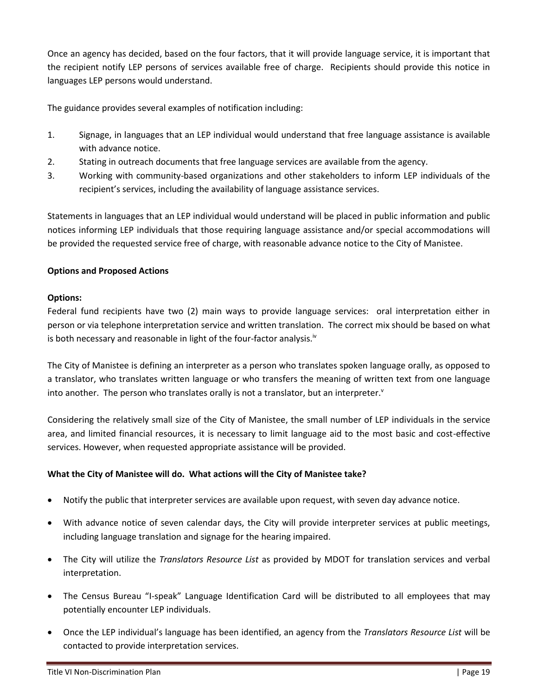Once an agency has decided, based on the four factors, that it will provide language service, it is important that the recipient notify LEP persons of services available free of charge. Recipients should provide this notice in languages LEP persons would understand.

The guidance provides several examples of notification including:

- 1. Signage, in languages that an LEP individual would understand that free language assistance is available with advance notice.
- 2. Stating in outreach documents that free language services are available from the agency.
- 3. Working with community-based organizations and other stakeholders to inform LEP individuals of the recipient's services, including the availability of language assistance services.

Statements in languages that an LEP individual would understand will be placed in public information and public notices informing LEP individuals that those requiring language assistance and/or special accommodations will be provided the requested service free of charge, with reasonable advance notice to the City of Manistee.

# **Options and Proposed Actions**

## **Options:**

Federal fund recipients have two (2) main ways to provide language services: oral interpretation either in person or via telephone interpretation service and written translation. The correct mix should be based on what is both necessary and reasonable in light of the four-factor analysis.<sup>iv</sup>

The City of Manistee is defining an interpreter as a person who translates spoken language orally, as opposed to a translator, who translates written language or who transfers the meaning of written text from one language into another. The person who translates orally is not a translator, but an interpreter. $v$ 

Considering the relatively small size of the City of Manistee, the small number of LEP individuals in the service area, and limited financial resources, it is necessary to limit language aid to the most basic and cost-effective services. However, when requested appropriate assistance will be provided.

# **What the City of Manistee will do. What actions will the City of Manistee take?**

- Notify the public that interpreter services are available upon request, with seven day advance notice.
- With advance notice of seven calendar days, the City will provide interpreter services at public meetings, including language translation and signage for the hearing impaired.
- The City will utilize the *Translators Resource List* as provided by MDOT for translation services and verbal interpretation.
- The Census Bureau "I-speak" Language Identification Card will be distributed to all employees that may potentially encounter LEP individuals.
- Once the LEP individual's language has been identified, an agency from the *Translators Resource List* will be contacted to provide interpretation services.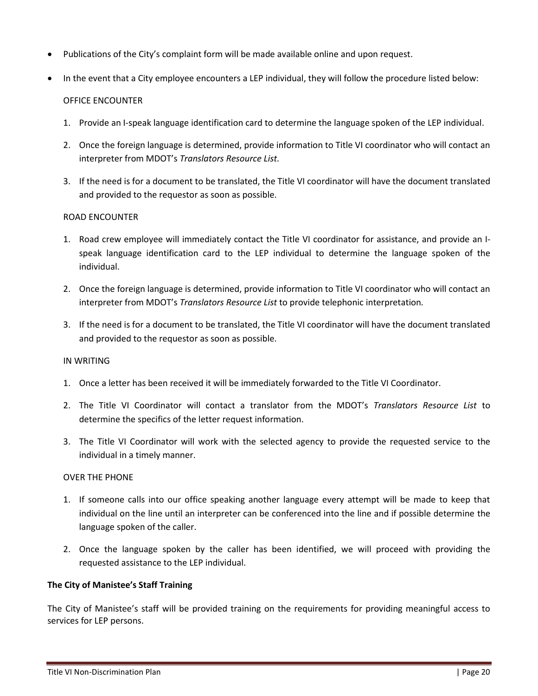- Publications of the City's complaint form will be made available online and upon request.
- In the event that a City employee encounters a LEP individual, they will follow the procedure listed below:

#### OFFICE ENCOUNTER

- 1. Provide an I-speak language identification card to determine the language spoken of the LEP individual.
- 2. Once the foreign language is determined, provide information to Title VI coordinator who will contact an interpreter from MDOT's *Translators Resource List.*
- 3. If the need is for a document to be translated, the Title VI coordinator will have the document translated and provided to the requestor as soon as possible.

#### ROAD ENCOUNTER

- 1. Road crew employee will immediately contact the Title VI coordinator for assistance, and provide an Ispeak language identification card to the LEP individual to determine the language spoken of the individual.
- 2. Once the foreign language is determined, provide information to Title VI coordinator who will contact an interpreter from MDOT's *Translators Resource List* to provide telephonic interpretation*.*
- 3. If the need is for a document to be translated, the Title VI coordinator will have the document translated and provided to the requestor as soon as possible.

#### IN WRITING

- 1. Once a letter has been received it will be immediately forwarded to the Title VI Coordinator.
- 2. The Title VI Coordinator will contact a translator from the MDOT's *Translators Resource List* to determine the specifics of the letter request information.
- 3. The Title VI Coordinator will work with the selected agency to provide the requested service to the individual in a timely manner.

#### OVER THE PHONE

- 1. If someone calls into our office speaking another language every attempt will be made to keep that individual on the line until an interpreter can be conferenced into the line and if possible determine the language spoken of the caller.
- 2. Once the language spoken by the caller has been identified, we will proceed with providing the requested assistance to the LEP individual.

#### **The City of Manistee's Staff Training**

The City of Manistee's staff will be provided training on the requirements for providing meaningful access to services for LEP persons.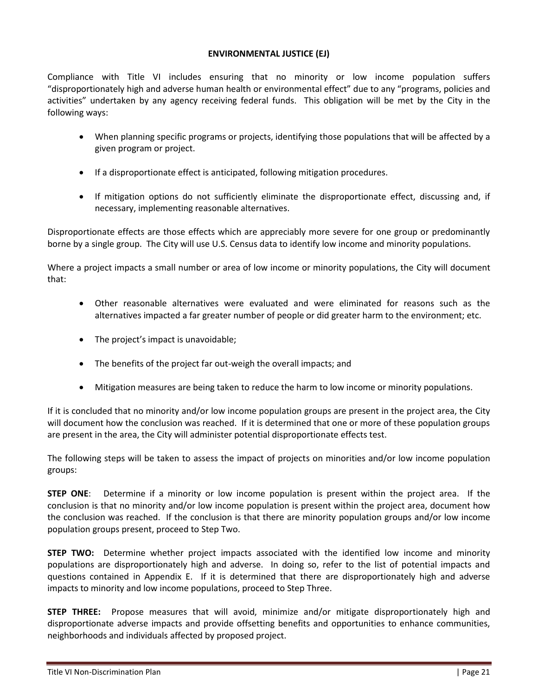### **ENVIRONMENTAL JUSTICE (EJ)**

Compliance with Title VI includes ensuring that no minority or low income population suffers "disproportionately high and adverse human health or environmental effect" due to any "programs, policies and activities" undertaken by any agency receiving federal funds. This obligation will be met by the City in the following ways:

- When planning specific programs or projects, identifying those populations that will be affected by a given program or project.
- If a disproportionate effect is anticipated, following mitigation procedures.
- If mitigation options do not sufficiently eliminate the disproportionate effect, discussing and, if necessary, implementing reasonable alternatives.

Disproportionate effects are those effects which are appreciably more severe for one group or predominantly borne by a single group. The City will use U.S. Census data to identify low income and minority populations.

Where a project impacts a small number or area of low income or minority populations, the City will document that:

- Other reasonable alternatives were evaluated and were eliminated for reasons such as the alternatives impacted a far greater number of people or did greater harm to the environment; etc.
- The project's impact is unavoidable;
- The benefits of the project far out-weigh the overall impacts; and
- Mitigation measures are being taken to reduce the harm to low income or minority populations.

If it is concluded that no minority and/or low income population groups are present in the project area, the City will document how the conclusion was reached. If it is determined that one or more of these population groups are present in the area, the City will administer potential disproportionate effects test.

The following steps will be taken to assess the impact of projects on minorities and/or low income population groups:

**STEP ONE**: Determine if a minority or low income population is present within the project area. If the conclusion is that no minority and/or low income population is present within the project area, document how the conclusion was reached. If the conclusion is that there are minority population groups and/or low income population groups present, proceed to Step Two.

**STEP TWO:** Determine whether project impacts associated with the identified low income and minority populations are disproportionately high and adverse. In doing so, refer to the list of potential impacts and questions contained in Appendix E. If it is determined that there are disproportionately high and adverse impacts to minority and low income populations, proceed to Step Three.

**STEP THREE:** Propose measures that will avoid, minimize and/or mitigate disproportionately high and disproportionate adverse impacts and provide offsetting benefits and opportunities to enhance communities, neighborhoods and individuals affected by proposed project.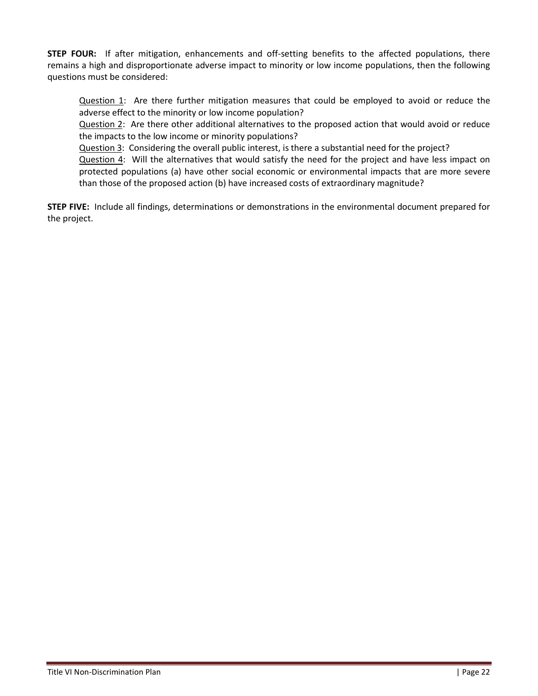**STEP FOUR:** If after mitigation, enhancements and off-setting benefits to the affected populations, there remains a high and disproportionate adverse impact to minority or low income populations, then the following questions must be considered:

Question 1: Are there further mitigation measures that could be employed to avoid or reduce the adverse effect to the minority or low income population?

Question 2: Are there other additional alternatives to the proposed action that would avoid or reduce the impacts to the low income or minority populations?

Question 3: Considering the overall public interest, is there a substantial need for the project? Question 4: Will the alternatives that would satisfy the need for the project and have less impact on protected populations (a) have other social economic or environmental impacts that are more severe than those of the proposed action (b) have increased costs of extraordinary magnitude?

**STEP FIVE:** Include all findings, determinations or demonstrations in the environmental document prepared for the project.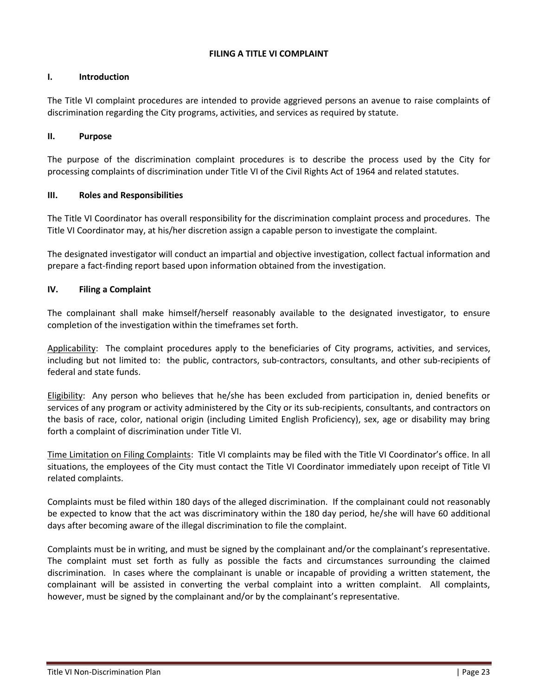## **FILING A TITLE VI COMPLAINT**

## **I. Introduction**

The Title VI complaint procedures are intended to provide aggrieved persons an avenue to raise complaints of discrimination regarding the City programs, activities, and services as required by statute.

## **II. Purpose**

The purpose of the discrimination complaint procedures is to describe the process used by the City for processing complaints of discrimination under Title VI of the Civil Rights Act of 1964 and related statutes.

#### **III. Roles and Responsibilities**

The Title VI Coordinator has overall responsibility for the discrimination complaint process and procedures. The Title VI Coordinator may, at his/her discretion assign a capable person to investigate the complaint.

The designated investigator will conduct an impartial and objective investigation, collect factual information and prepare a fact-finding report based upon information obtained from the investigation.

#### **IV. Filing a Complaint**

The complainant shall make himself/herself reasonably available to the designated investigator, to ensure completion of the investigation within the timeframes set forth.

Applicability: The complaint procedures apply to the beneficiaries of City programs, activities, and services, including but not limited to: the public, contractors, sub-contractors, consultants, and other sub-recipients of federal and state funds.

Eligibility: Any person who believes that he/she has been excluded from participation in, denied benefits or services of any program or activity administered by the City or its sub-recipients, consultants, and contractors on the basis of race, color, national origin (including Limited English Proficiency), sex, age or disability may bring forth a complaint of discrimination under Title VI.

Time Limitation on Filing Complaints: Title VI complaints may be filed with the Title VI Coordinator's office. In all situations, the employees of the City must contact the Title VI Coordinator immediately upon receipt of Title VI related complaints.

Complaints must be filed within 180 days of the alleged discrimination. If the complainant could not reasonably be expected to know that the act was discriminatory within the 180 day period, he/she will have 60 additional days after becoming aware of the illegal discrimination to file the complaint.

Complaints must be in writing, and must be signed by the complainant and/or the complainant's representative. The complaint must set forth as fully as possible the facts and circumstances surrounding the claimed discrimination. In cases where the complainant is unable or incapable of providing a written statement, the complainant will be assisted in converting the verbal complaint into a written complaint. All complaints, however, must be signed by the complainant and/or by the complainant's representative.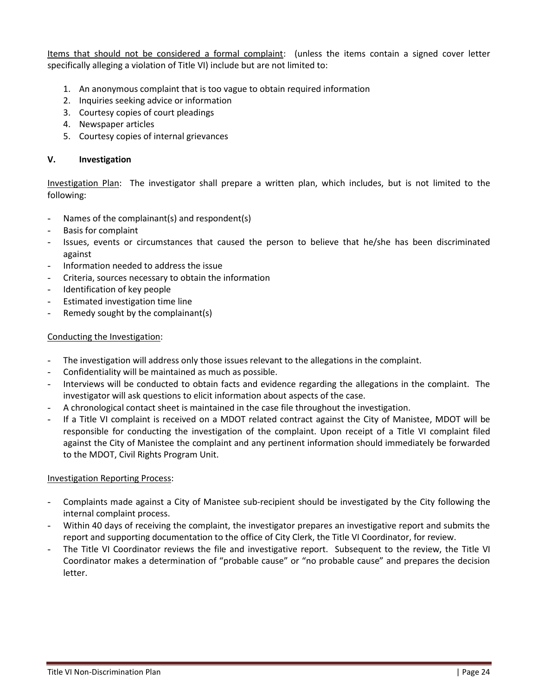Items that should not be considered a formal complaint: (unless the items contain a signed cover letter specifically alleging a violation of Title VI) include but are not limited to:

- 1. An anonymous complaint that is too vague to obtain required information
- 2. Inquiries seeking advice or information
- 3. Courtesy copies of court pleadings
- 4. Newspaper articles
- 5. Courtesy copies of internal grievances

#### **V. Investigation**

Investigation Plan: The investigator shall prepare a written plan, which includes, but is not limited to the following:

- Names of the complainant(s) and respondent(s)
- Basis for complaint
- Issues, events or circumstances that caused the person to believe that he/she has been discriminated against
- Information needed to address the issue
- Criteria, sources necessary to obtain the information
- Identification of key people
- Estimated investigation time line
- Remedy sought by the complainant(s)

#### Conducting the Investigation:

- The investigation will address only those issues relevant to the allegations in the complaint.
- Confidentiality will be maintained as much as possible.
- Interviews will be conducted to obtain facts and evidence regarding the allegations in the complaint. The investigator will ask questions to elicit information about aspects of the case.
- A chronological contact sheet is maintained in the case file throughout the investigation.
- If a Title VI complaint is received on a MDOT related contract against the City of Manistee, MDOT will be responsible for conducting the investigation of the complaint. Upon receipt of a Title VI complaint filed against the City of Manistee the complaint and any pertinent information should immediately be forwarded to the MDOT, Civil Rights Program Unit.

#### Investigation Reporting Process:

- Complaints made against a City of Manistee sub-recipient should be investigated by the City following the internal complaint process.
- Within 40 days of receiving the complaint, the investigator prepares an investigative report and submits the report and supporting documentation to the office of City Clerk, the Title VI Coordinator, for review.
- The Title VI Coordinator reviews the file and investigative report. Subsequent to the review, the Title VI Coordinator makes a determination of "probable cause" or "no probable cause" and prepares the decision letter.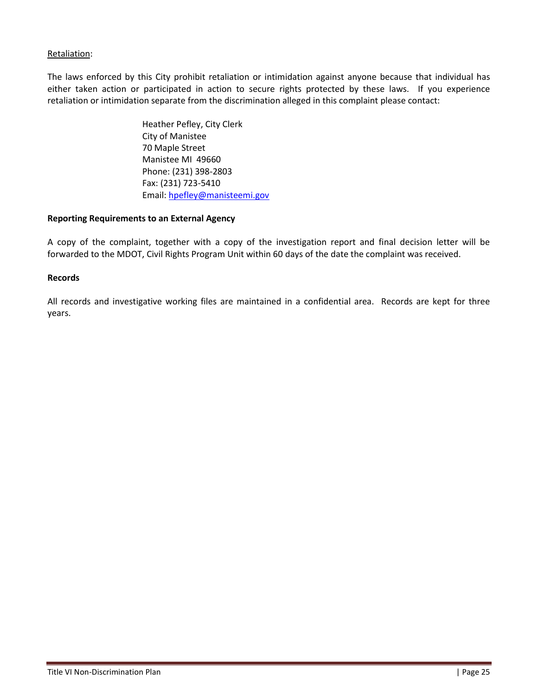# Retaliation:

The laws enforced by this City prohibit retaliation or intimidation against anyone because that individual has either taken action or participated in action to secure rights protected by these laws. If you experience retaliation or intimidation separate from the discrimination alleged in this complaint please contact:

> Heather Pefley, City Clerk City of Manistee 70 Maple Street Manistee MI 49660 Phone: (231) 398-2803 Fax: (231) 723-5410 Email: [hpefley@manisteemi.gov](mailto:mwright@manisteemi.gov)

#### **Reporting Requirements to an External Agency**

A copy of the complaint, together with a copy of the investigation report and final decision letter will be forwarded to the MDOT, Civil Rights Program Unit within 60 days of the date the complaint was received.

#### **Records**

All records and investigative working files are maintained in a confidential area. Records are kept for three years.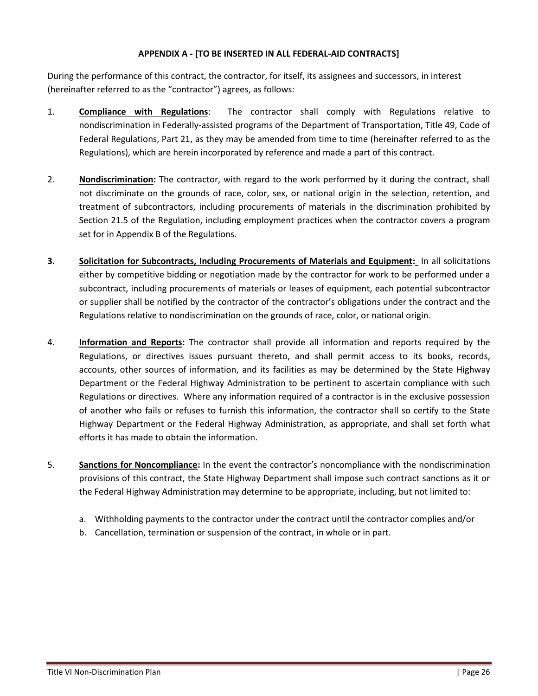## **APPENDIX A - [TO BE INSERTED IN ALL FEDERAL-AID CONTRACTS]**

During the performance of this contract, the contractor, for itself, its assignees and successors, in interest (hereinafter referred to as the "contractor") agrees, as follows:

- 1. **Compliance with Regulations**: The contractor shall comply with Regulations relative to nondiscrimination in Federally-assisted programs of the Department of Transportation, Title 49, Code of Federal Regulations, Part 21, as they may be amended from time to time (hereinafter referred to as the Regulations), which are herein incorporated by reference and made a part of this contract.
- 2. **Nondiscrimination:** The contractor, with regard to the work performed by it during the contract, shall not discriminate on the grounds of race, color, sex, or national origin in the selection, retention, and treatment of subcontractors, including procurements of materials in the discrimination prohibited by Section 21.5 of the Regulation, including employment practices when the contractor covers a program set for in Appendix B of the Regulations.
- **3. Solicitation for Subcontracts, Including Procurements of Materials and Equipment:** In all solicitations either by competitive bidding or negotiation made by the contractor for work to be performed under a subcontract, including procurements of materials or leases of equipment, each potential subcontractor or supplier shall be notified by the contractor of the contractor's obligations under the contract and the Regulations relative to nondiscrimination on the grounds of race, color, or national origin.
- 4. **Information and Reports:** The contractor shall provide all information and reports required by the Regulations, or directives issues pursuant thereto, and shall permit access to its books, records, accounts, other sources of information, and its facilities as may be determined by the State Highway Department or the Federal Highway Administration to be pertinent to ascertain compliance with such Regulations or directives. Where any information required of a contractor is in the exclusive possession of another who fails or refuses to furnish this information, the contractor shall so certify to the State Highway Department or the Federal Highway Administration, as appropriate, and shall set forth what efforts it has made to obtain the information.
- 5. **Sanctions for Noncompliance:** In the event the contractor's noncompliance with the nondiscrimination provisions of this contract, the State Highway Department shall impose such contract sanctions as it or the Federal Highway Administration may determine to be appropriate, including, but not limited to:
	- a. Withholding payments to the contractor under the contract until the contractor complies and/or
	- b. Cancellation, termination or suspension of the contract, in whole or in part.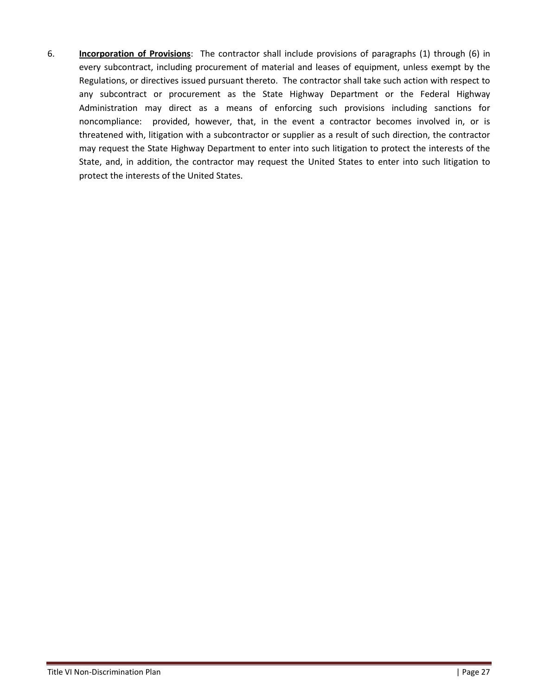6. **Incorporation of Provisions**: The contractor shall include provisions of paragraphs (1) through (6) in every subcontract, including procurement of material and leases of equipment, unless exempt by the Regulations, or directives issued pursuant thereto. The contractor shall take such action with respect to any subcontract or procurement as the State Highway Department or the Federal Highway Administration may direct as a means of enforcing such provisions including sanctions for noncompliance: provided, however, that, in the event a contractor becomes involved in, or is threatened with, litigation with a subcontractor or supplier as a result of such direction, the contractor may request the State Highway Department to enter into such litigation to protect the interests of the State, and, in addition, the contractor may request the United States to enter into such litigation to protect the interests of the United States.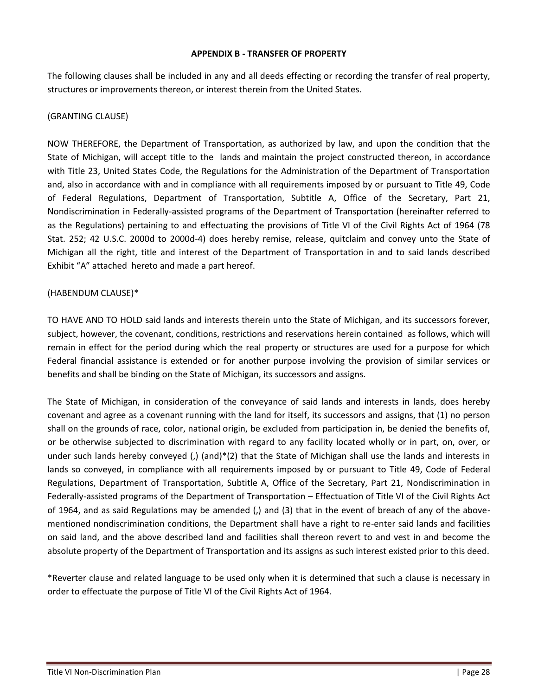#### **APPENDIX B - TRANSFER OF PROPERTY**

The following clauses shall be included in any and all deeds effecting or recording the transfer of real property, structures or improvements thereon, or interest therein from the United States.

#### (GRANTING CLAUSE)

NOW THEREFORE, the Department of Transportation, as authorized by law, and upon the condition that the State of Michigan, will accept title to the lands and maintain the project constructed thereon, in accordance with Title 23, United States Code, the Regulations for the Administration of the Department of Transportation and, also in accordance with and in compliance with all requirements imposed by or pursuant to Title 49, Code of Federal Regulations, Department of Transportation, Subtitle A, Office of the Secretary, Part 21, Nondiscrimination in Federally-assisted programs of the Department of Transportation (hereinafter referred to as the Regulations) pertaining to and effectuating the provisions of Title VI of the Civil Rights Act of 1964 (78 Stat. 252; 42 U.S.C. 2000d to 2000d-4) does hereby remise, release, quitclaim and convey unto the State of Michigan all the right, title and interest of the Department of Transportation in and to said lands described Exhibit "A" attached hereto and made a part hereof.

#### (HABENDUM CLAUSE)\*

TO HAVE AND TO HOLD said lands and interests therein unto the State of Michigan, and its successors forever, subject, however, the covenant, conditions, restrictions and reservations herein contained as follows, which will remain in effect for the period during which the real property or structures are used for a purpose for which Federal financial assistance is extended or for another purpose involving the provision of similar services or benefits and shall be binding on the State of Michigan, its successors and assigns.

The State of Michigan, in consideration of the conveyance of said lands and interests in lands, does hereby covenant and agree as a covenant running with the land for itself, its successors and assigns, that (1) no person shall on the grounds of race, color, national origin, be excluded from participation in, be denied the benefits of, or be otherwise subjected to discrimination with regard to any facility located wholly or in part, on, over, or under such lands hereby conveyed (,) (and)\*(2) that the State of Michigan shall use the lands and interests in lands so conveyed, in compliance with all requirements imposed by or pursuant to Title 49, Code of Federal Regulations, Department of Transportation, Subtitle A, Office of the Secretary, Part 21, Nondiscrimination in Federally-assisted programs of the Department of Transportation – Effectuation of Title VI of the Civil Rights Act of 1964, and as said Regulations may be amended (,) and (3) that in the event of breach of any of the abovementioned nondiscrimination conditions, the Department shall have a right to re-enter said lands and facilities on said land, and the above described land and facilities shall thereon revert to and vest in and become the absolute property of the Department of Transportation and its assigns as such interest existed prior to this deed.

\*Reverter clause and related language to be used only when it is determined that such a clause is necessary in order to effectuate the purpose of Title VI of the Civil Rights Act of 1964.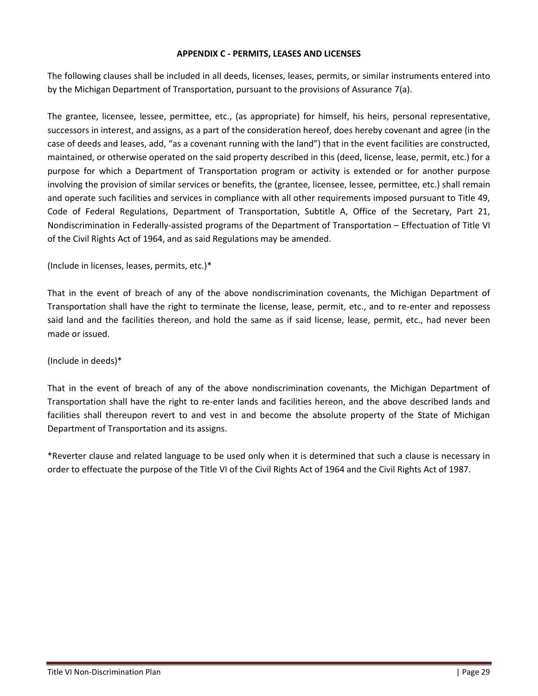#### **APPENDIX C - PERMITS, LEASES AND LICENSES**

The following clauses shall be included in all deeds, licenses, leases, permits, or similar instruments entered into by the Michigan Department of Transportation, pursuant to the provisions of Assurance 7(a).

The grantee, licensee, lessee, permittee, etc., (as appropriate) for himself, his heirs, personal representative, successors in interest, and assigns, as a part of the consideration hereof, does hereby covenant and agree (in the case of deeds and leases, add, "as a covenant running with the land") that in the event facilities are constructed, maintained, or otherwise operated on the said property described in this (deed, license, lease, permit, etc.) for a purpose for which a Department of Transportation program or activity is extended or for another purpose involving the provision of similar services or benefits, the (grantee, licensee, lessee, permittee, etc.) shall remain and operate such facilities and services in compliance with all other requirements imposed pursuant to Title 49, Code of Federal Regulations, Department of Transportation, Subtitle A, Office of the Secretary, Part 21, Nondiscrimination in Federally-assisted programs of the Department of Transportation – Effectuation of Title VI of the Civil Rights Act of 1964, and as said Regulations may be amended.

(Include in licenses, leases, permits, etc.)\*

That in the event of breach of any of the above nondiscrimination covenants, the Michigan Department of Transportation shall have the right to terminate the license, lease, permit, etc., and to re-enter and repossess said land and the facilities thereon, and hold the same as if said license, lease, permit, etc., had never been made or issued.

#### (Include in deeds)\*

That in the event of breach of any of the above nondiscrimination covenants, the Michigan Department of Transportation shall have the right to re-enter lands and facilities hereon, and the above described lands and facilities shall thereupon revert to and vest in and become the absolute property of the State of Michigan Department of Transportation and its assigns.

\*Reverter clause and related language to be used only when it is determined that such a clause is necessary in order to effectuate the purpose of the Title VI of the Civil Rights Act of 1964 and the Civil Rights Act of 1987.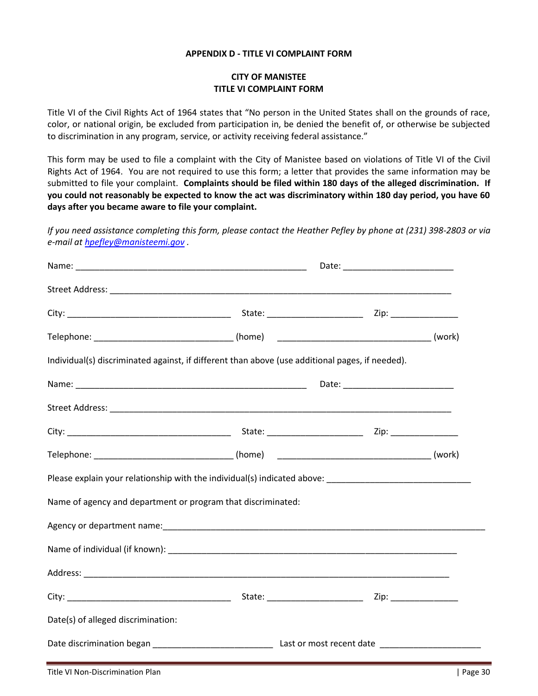#### **APPENDIX D - TITLE VI COMPLAINT FORM**

## **CITY OF MANISTEE TITLE VI COMPLAINT FORM**

Title VI of the Civil Rights Act of 1964 states that "No person in the United States shall on the grounds of race, color, or national origin, be excluded from participation in, be denied the benefit of, or otherwise be subjected to discrimination in any program, service, or activity receiving federal assistance."

This form may be used to file a complaint with the City of Manistee based on violations of Title VI of the Civil Rights Act of 1964. You are not required to use this form; a letter that provides the same information may be submitted to file your complaint. **Complaints should be filed within 180 days of the alleged discrimination. If you could not reasonably be expected to know the act was discriminatory within 180 day period, you have 60 days after you became aware to file your complaint.**

*If you need assistance completing this form, please contact the Heather Pefley by phone at (231) 398-2803 or via e-mail at [hpefley@manisteemi.gov](mailto:mwright@manisteemi.gov) .*

| Individual(s) discriminated against, if different than above (use additional pages, if needed).      |  |  |  |  |  |
|------------------------------------------------------------------------------------------------------|--|--|--|--|--|
|                                                                                                      |  |  |  |  |  |
|                                                                                                      |  |  |  |  |  |
|                                                                                                      |  |  |  |  |  |
|                                                                                                      |  |  |  |  |  |
| Please explain your relationship with the individual(s) indicated above: ___________________________ |  |  |  |  |  |
| Name of agency and department or program that discriminated:                                         |  |  |  |  |  |
|                                                                                                      |  |  |  |  |  |
|                                                                                                      |  |  |  |  |  |
|                                                                                                      |  |  |  |  |  |
|                                                                                                      |  |  |  |  |  |
| Date(s) of alleged discrimination:                                                                   |  |  |  |  |  |
|                                                                                                      |  |  |  |  |  |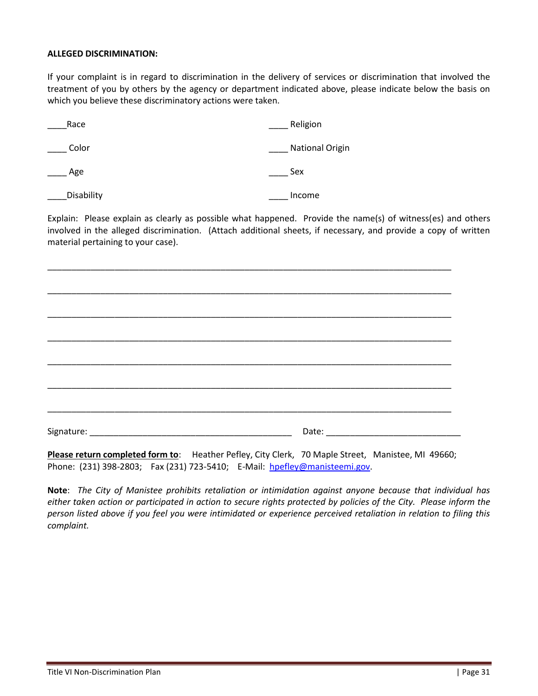#### **ALLEGED DISCRIMINATION:**

If your complaint is in regard to discrimination in the delivery of services or discrimination that involved the treatment of you by others by the agency or department indicated above, please indicate below the basis on which you believe these discriminatory actions were taken.

| Race       | Religion               |
|------------|------------------------|
| Color      | <b>National Origin</b> |
| Age        | Sex                    |
| Disability | Income                 |

Explain: Please explain as clearly as possible what happened. Provide the name(s) of witness(es) and others involved in the alleged discrimination. (Attach additional sheets, if necessary, and provide a copy of written material pertaining to your case).

\_\_\_\_\_\_\_\_\_\_\_\_\_\_\_\_\_\_\_\_\_\_\_\_\_\_\_\_\_\_\_\_\_\_\_\_\_\_\_\_\_\_\_\_\_\_\_\_\_\_\_\_\_\_\_\_\_\_\_\_\_\_\_\_\_\_\_\_\_\_\_\_\_\_\_\_\_\_\_\_\_\_\_\_ \_\_\_\_\_\_\_\_\_\_\_\_\_\_\_\_\_\_\_\_\_\_\_\_\_\_\_\_\_\_\_\_\_\_\_\_\_\_\_\_\_\_\_\_\_\_\_\_\_\_\_\_\_\_\_\_\_\_\_\_\_\_\_\_\_\_\_\_\_\_\_\_\_\_\_\_\_\_\_\_\_\_\_\_ \_\_\_\_\_\_\_\_\_\_\_\_\_\_\_\_\_\_\_\_\_\_\_\_\_\_\_\_\_\_\_\_\_\_\_\_\_\_\_\_\_\_\_\_\_\_\_\_\_\_\_\_\_\_\_\_\_\_\_\_\_\_\_\_\_\_\_\_\_\_\_\_\_\_\_\_\_\_\_\_\_\_\_\_ \_\_\_\_\_\_\_\_\_\_\_\_\_\_\_\_\_\_\_\_\_\_\_\_\_\_\_\_\_\_\_\_\_\_\_\_\_\_\_\_\_\_\_\_\_\_\_\_\_\_\_\_\_\_\_\_\_\_\_\_\_\_\_\_\_\_\_\_\_\_\_\_\_\_\_\_\_\_\_\_\_\_\_\_ \_\_\_\_\_\_\_\_\_\_\_\_\_\_\_\_\_\_\_\_\_\_\_\_\_\_\_\_\_\_\_\_\_\_\_\_\_\_\_\_\_\_\_\_\_\_\_\_\_\_\_\_\_\_\_\_\_\_\_\_\_\_\_\_\_\_\_\_\_\_\_\_\_\_\_\_\_\_\_\_\_\_\_\_ Signature: \_\_\_\_\_\_\_\_\_\_\_\_\_\_\_\_\_\_\_\_\_\_\_\_\_\_\_\_\_\_\_\_\_\_\_\_\_\_\_\_\_\_ Date: \_\_\_\_\_\_\_\_\_\_\_\_\_\_\_\_\_\_\_\_\_\_\_\_\_\_\_\_

\_\_\_\_\_\_\_\_\_\_\_\_\_\_\_\_\_\_\_\_\_\_\_\_\_\_\_\_\_\_\_\_\_\_\_\_\_\_\_\_\_\_\_\_\_\_\_\_\_\_\_\_\_\_\_\_\_\_\_\_\_\_\_\_\_\_\_\_\_\_\_\_\_\_\_\_\_\_\_\_\_\_\_\_

\_\_\_\_\_\_\_\_\_\_\_\_\_\_\_\_\_\_\_\_\_\_\_\_\_\_\_\_\_\_\_\_\_\_\_\_\_\_\_\_\_\_\_\_\_\_\_\_\_\_\_\_\_\_\_\_\_\_\_\_\_\_\_\_\_\_\_\_\_\_\_\_\_\_\_\_\_\_\_\_\_\_\_\_

**Please return completed form to**: Heather Pefley, City Clerk, 70 Maple Street, Manistee, MI 49660; Phone: (231) 398-2803; Fax (231) 723-5410; E-Mail: [hpefley@manisteemi.gov.](mailto:mwright@manisteemi.gov)

**Note**: *The City of Manistee prohibits retaliation or intimidation against anyone because that individual has either taken action or participated in action to secure rights protected by policies of the City. Please inform the person listed above if you feel you were intimidated or experience perceived retaliation in relation to filing this complaint.*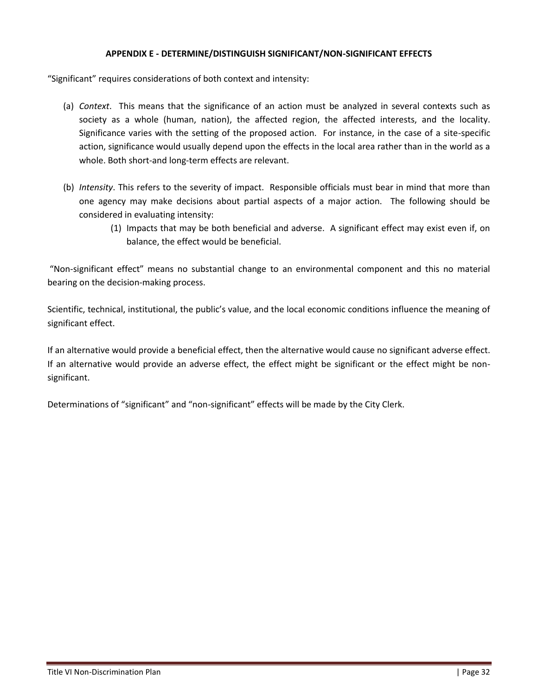### **APPENDIX E - DETERMINE/DISTINGUISH SIGNIFICANT/NON-SIGNIFICANT EFFECTS**

"Significant" requires considerations of both context and intensity:

- (a) *Context*. This means that the significance of an action must be analyzed in several contexts such as society as a whole (human, nation), the affected region, the affected interests, and the locality. Significance varies with the setting of the proposed action. For instance, in the case of a site-specific action, significance would usually depend upon the effects in the local area rather than in the world as a whole. Both short-and long-term effects are relevant.
- (b) *Intensity*. This refers to the severity of impact. Responsible officials must bear in mind that more than one agency may make decisions about partial aspects of a major action. The following should be considered in evaluating intensity:
	- (1) Impacts that may be both beneficial and adverse. A significant effect may exist even if, on balance, the effect would be beneficial.

"Non-significant effect" means no substantial change to an environmental component and this no material bearing on the decision-making process.

Scientific, technical, institutional, the public's value, and the local economic conditions influence the meaning of significant effect.

If an alternative would provide a beneficial effect, then the alternative would cause no significant adverse effect. If an alternative would provide an adverse effect, the effect might be significant or the effect might be nonsignificant.

Determinations of "significant" and "non-significant" effects will be made by the City Clerk.